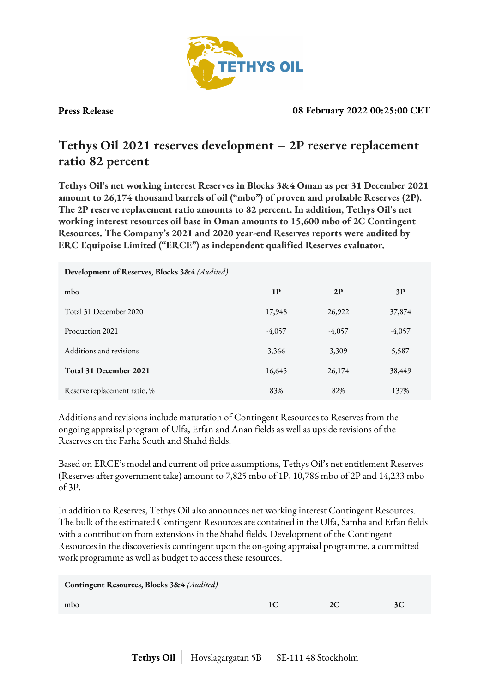

**Press Release 08 February 2022 00:25:00 CET**

## **Tethys Oil 2021 reserves development – 2P reserve replacement ratio 82 percent**

**Tethys Oil's net working interest Reserves in Blocks 3&4 Oman as per 31 December 2021 amount to 26,174 thousand barrels of oil ("mbo") of proven and probable Reserves (2P). The 2P reserve replacement ratio amounts to 82 percent. In addition, Tethys Oil's net working interest resources oil base in Oman amounts to 15,600 mbo of 2C Contingent Resources. The Company's 2021 and 2020 year-end Reserves reports were audited by ERC Equipoise Limited ("ERCE") as independent qualified Reserves evaluator.**

| Development of Reserves, Blocks 3&4 (Audited) |                |          |          |
|-----------------------------------------------|----------------|----------|----------|
| mbo                                           | 1 <sup>p</sup> | 2P       | 3P       |
| Total 31 December 2020                        | 17,948         | 26,922   | 37,874   |
| Production 2021                               | $-4,057$       | $-4,057$ | $-4,057$ |
| Additions and revisions                       | 3,366          | 3,309    | 5,587    |
| Total 31 December 2021                        | 16,645         | 26,174   | 38,449   |
| Reserve replacement ratio, %                  | 83%            | 82%      | 137%     |

Additions and revisions include maturation of Contingent Resources to Reserves from the ongoing appraisal program of Ulfa, Erfan and Anan fields as well as upside revisions of the Reserves on the Farha South and Shahd fields.

Based on ERCE's model and current oil price assumptions, Tethys Oil's net entitlement Reserves (Reserves after government take) amount to 7,825 mbo of 1P, 10,786 mbo of 2P and 14,233 mbo of 3P.

In addition to Reserves, Tethys Oil also announces net working interest Contingent Resources. The bulk of the estimated Contingent Resources are contained in the Ulfa, Samha and Erfan fields with a contribution from extensions in the Shahd fields. Development of the Contingent Resources in the discoveries is contingent upon the on-going appraisal programme, a committed work programme as well as budget to access these resources.

| Contingent Resources, Blocks 3&4 (Audited) |    |    |
|--------------------------------------------|----|----|
| mbo                                        | 2C | 3C |